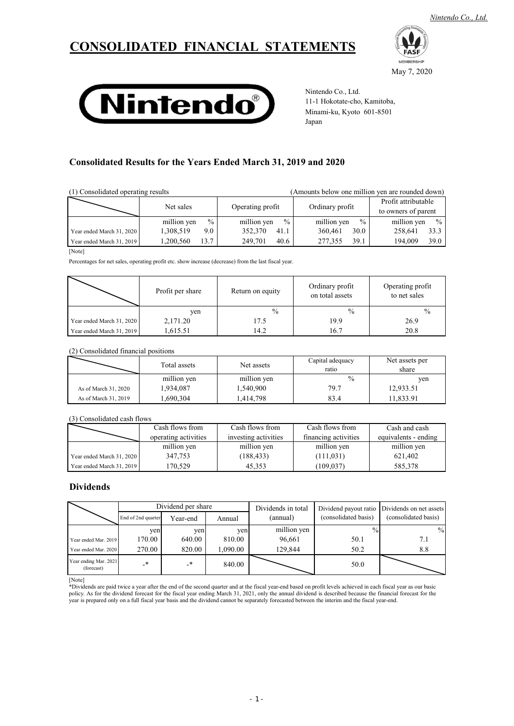# **CONSOLIDATED FINANCIAL STATEMENTS**



May 7, 2020



Nintendo Co., Ltd. 11-1 Hokotate-cho, Kamitoba, Minami-ku, Kyoto 601-8501 Japan

## **Consolidated Results for the Years Ended March 31, 2019 and 2020**

| (1) Consolidated operating results<br>(Amounts below one million yen are rounded down) |             |                  |                 |                                            |
|----------------------------------------------------------------------------------------|-------------|------------------|-----------------|--------------------------------------------|
|                                                                                        | Net sales   | Operating profit | Ordinary profit | Profit attributable<br>to owners of parent |
|                                                                                        | $\%$        | $\frac{0}{0}$    | $\frac{0}{0}$   | $\frac{0}{0}$                              |
|                                                                                        | million yen | million yen      | million yen     | million yen                                |
| Year ended March 31, 2020                                                              | 1,308,519   | 352,370          | 30.0            | 258,641                                    |
|                                                                                        | 9.0         | 41.1             | 360,461         | 33.3                                       |
| Year ended March 31, 2019                                                              | 13.7        | 249,701          | 39.1            | 39.0                                       |
|                                                                                        | 1,200,560   | 40.6             | 277,355         | 194,009                                    |
| [Note]                                                                                 |             |                  |                 |                                            |

Percentages for net sales, operating profit etc. show increase (decrease) from the last fiscal year.

|                           | Profit per share | Return on equity | Ordinary profit<br>on total assets | Operating profit<br>to net sales |
|---------------------------|------------------|------------------|------------------------------------|----------------------------------|
|                           | ven              | $\frac{0}{0}$    | $\frac{0}{0}$                      | $\frac{0}{0}$                    |
| Year ended March 31, 2020 | 2,171.20         | 17.5             | 19.9                               | 26.9                             |
| Year ended March 31, 2019 | 1,615.51         | 14.2             | 16.7                               | 20.8                             |

### (2) Consolidated financial positions

|                      | Total assets | Net assets  | Capital adequacy<br>ratio | Net assets per<br>share |
|----------------------|--------------|-------------|---------------------------|-------------------------|
|                      | million yen  | million yen | $\frac{0}{0}$             | ven                     |
| As of March 31, 2020 | 1.934.087    | 1,540,900   | 79.7                      | 12,933.51               |
| As of March 31, 2019 | .690,304     | 1,414,798   | 83.4                      | 1,833.91                |

### (3) Consolidated cash flows

|                           | Cash flows from      | Cash flows from      | Cash flows from      | Cash and cash        |
|---------------------------|----------------------|----------------------|----------------------|----------------------|
|                           | operating activities | investing activities | financing activities | equivalents - ending |
|                           | million yen          | million yen          | million yen          | million yen          |
| Year ended March 31, 2020 | 347.753              | (188, 433)           | (111, 031)           | 621.402              |
| Year ended March 31, 2019 | 170.529              | 45,353               | (109, 037)           | 585,378              |

### **Dividends**

|                                     | Dividend per share |          | Dividends in total |             | Dividend payout ratio Dividends on net assets |                      |
|-------------------------------------|--------------------|----------|--------------------|-------------|-----------------------------------------------|----------------------|
|                                     | End of 2nd quarter | Year-end | Annual             | (annual)    | (consolidated basis)                          | (consolidated basis) |
|                                     | ven                | yen      | ven                | million yen |                                               | $\frac{0}{0}$        |
| Year ended Mar. 2019                | 170.00             | 640.00   | 810.00             | 96,661      | 50.1                                          | 7.1                  |
| Year ended Mar. 2020                | 270.00             | 820.00   | 1,090.00           | 129.844     | 50.2                                          | 8.8                  |
| Year ending Mar. 2021<br>(forecast) | _∗                 | _*       | 840.00             |             | 50.0                                          |                      |

[Note]

\*Dividends are paid twice a year after the end of the second quarter and at the fiscal year-end based on profit levels achieved in each fiscal year as our basic<br>policy. As for the dividend forecast for the fiscal year endi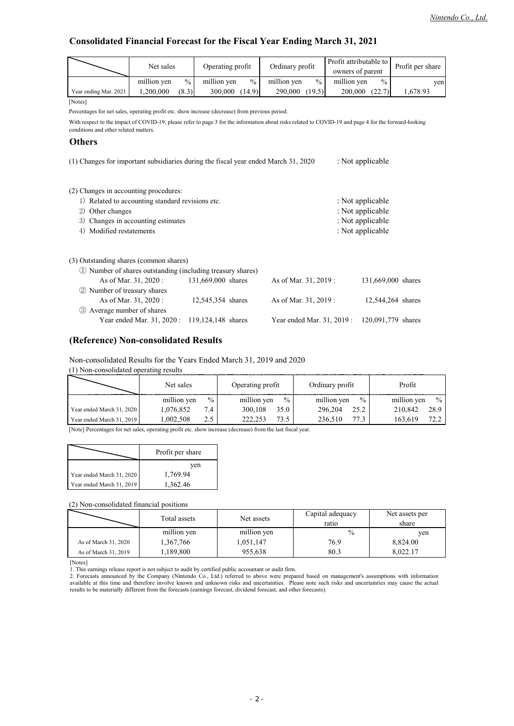## **Consolidated Financial Forecast for the Fiscal Year Ending March 31, 2021**

|                                                                                                 | Net sales                                                                                                                                                                                      |               | Operating profit   |      | Ordinary profit       |               | Profit attributable to |               | Profit per share   |
|-------------------------------------------------------------------------------------------------|------------------------------------------------------------------------------------------------------------------------------------------------------------------------------------------------|---------------|--------------------|------|-----------------------|---------------|------------------------|---------------|--------------------|
|                                                                                                 |                                                                                                                                                                                                |               |                    |      |                       |               | owners of parent       |               |                    |
|                                                                                                 | million yen                                                                                                                                                                                    | $\frac{0}{0}$ | million yen        | $\%$ | million yen           | $\frac{0}{0}$ | million yen            | $\frac{0}{0}$ | yen                |
| Year ending Mar. 2021                                                                           | 1,200,000                                                                                                                                                                                      | (8.3)         | 300,000 (14.9)     |      | 290,000 (19.5)        |               | 200,000 (22.7)         |               | 1,678.93           |
| [Notes]                                                                                         |                                                                                                                                                                                                |               |                    |      |                       |               |                        |               |                    |
| Percentages for net sales, operating profit etc. show increase (decrease) from previous period. |                                                                                                                                                                                                |               |                    |      |                       |               |                        |               |                    |
|                                                                                                 | With respect to the impact of COVID-19, please refer to page 3 for the information about risks related to COVID-19 and page 4 for the forward-looking<br>conditions and other related matters. |               |                    |      |                       |               |                        |               |                    |
| <b>Others</b>                                                                                   |                                                                                                                                                                                                |               |                    |      |                       |               |                        |               |                    |
| (1) Changes for important subsidiaries during the fiscal year ended March 31, 2020              |                                                                                                                                                                                                |               |                    |      |                       |               | : Not applicable       |               |                    |
| (2) Changes in accounting procedures:                                                           |                                                                                                                                                                                                |               |                    |      |                       |               |                        |               |                    |
| 1) Related to accounting standard revisions etc.                                                |                                                                                                                                                                                                |               |                    |      |                       |               | : Not applicable       |               |                    |
| Other changes<br>2)                                                                             |                                                                                                                                                                                                |               |                    |      |                       |               | : Not applicable       |               |                    |
| 3)                                                                                              | Changes in accounting estimates                                                                                                                                                                |               |                    |      |                       |               | : Not applicable       |               |                    |
| Modified restatements<br>4)                                                                     |                                                                                                                                                                                                |               |                    |      |                       |               | : Not applicable       |               |                    |
|                                                                                                 |                                                                                                                                                                                                |               |                    |      |                       |               |                        |               |                    |
| (3) Outstanding shares (common shares)                                                          |                                                                                                                                                                                                |               |                    |      |                       |               |                        |               |                    |
| (1) Number of shares outstanding (including treasury shares)                                    |                                                                                                                                                                                                |               |                    |      |                       |               |                        |               |                    |
|                                                                                                 | As of Mar. 31, 2020:                                                                                                                                                                           |               | 131,669,000 shares |      | As of Mar. 31, 2019 : |               |                        |               | 131,669,000 shares |
| 2 Number of treasury shares                                                                     |                                                                                                                                                                                                |               |                    |      |                       |               |                        |               |                    |
|                                                                                                 | As of Mar. 31, 2020:                                                                                                                                                                           |               | 12,545,354 shares  |      | As of Mar. 31, 2019:  |               |                        |               | 12,544,264 shares  |
| 3 Average number of shares                                                                      |                                                                                                                                                                                                |               |                    |      |                       |               |                        |               |                    |

### **(Reference) Non-consolidated Results**

Non-consolidated Results for the Years Ended March 31, 2019 and 2020

| (1) Non-consolidated operating results |               |                  |                 |               |  |  |  |
|----------------------------------------|---------------|------------------|-----------------|---------------|--|--|--|
|                                        | Net sales     | Operating profit | Ordinary profit | Profit        |  |  |  |
|                                        | $\frac{0}{0}$ | $\frac{0}{0}$    | $\frac{0}{0}$   | $\frac{0}{0}$ |  |  |  |
|                                        | million yen   | million yen      | million yen     | million yen   |  |  |  |
| Year ended March 31, 2020              | 1,076,852     | 300,108          | 296.204         | 28.9          |  |  |  |
|                                        | 7.4           | 35.0             | 25.2            | 210,842       |  |  |  |
| Year ended March 31, 2019              | 1.002.508     | 73.5             | 77.3            | 163,619       |  |  |  |
|                                        | 2.5           | 222.253          | 236.510         | 72.2          |  |  |  |

Year ended Mar. 31, 2020 : 119,124,148 shares Year ended Mar. 31, 2019 : 120,091,779 shares

[Note] Percentages for net sales, operating profit etc. show increase (decrease) from the last fiscal year.

|                           | Profit per share |  |  |
|---------------------------|------------------|--|--|
|                           | ven              |  |  |
| Year ended March 31, 2020 | 1,769.94         |  |  |
| Year ended March 31, 2019 | 1.362.46         |  |  |

(2) Non-consolidated financial positions

|                      | Total assets | Net assets  | Capital adequacy<br>ratio | Net assets per<br>share |
|----------------------|--------------|-------------|---------------------------|-------------------------|
|                      | million yen  | million yen | $\frac{0}{0}$             | ven                     |
| As of March 31, 2020 | 1,367,766    | 1,051,147   | 76.9                      | 8,824.00                |
| As of March 31, 2019 | ,189,800     | 955.638     | 80.3                      | 8.022.17                |

[Notes]

<sup>1.</sup> This earnings release report is not subject to audit by certified public accountant or audit firm.<br>2. Forecasts announced by the Company (Nintendo Co., Ltd.) referred to above were prepared based on management's assumpt available at this time and therefore involve known and unknown risks and uncertainties. Please note such risks and uncertainties may cause the actual results to be materially different from the forecasts (earnings forecast, dividend forecast, and other forecasts).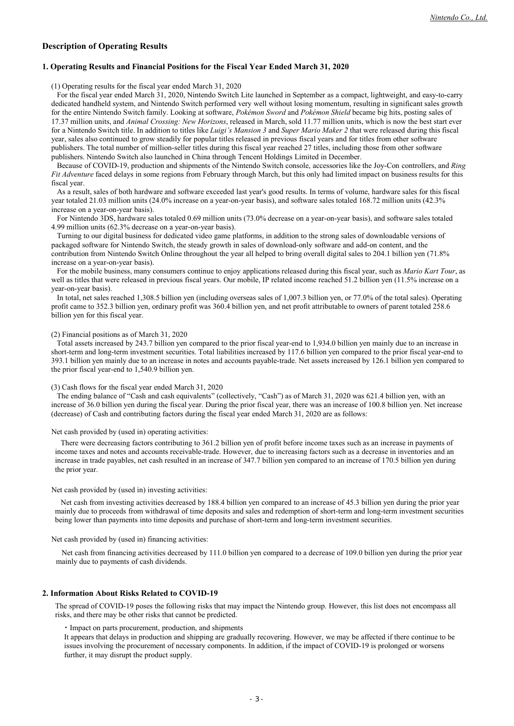### **Description of Operating Results**

### **1. Operating Results and Financial Positions for the Fiscal Year Ended March 31, 2020**

(1) Operating results for the fiscal year ended March 31, 2020

For the fiscal year ended March 31, 2020, Nintendo Switch Lite launched in September as a compact, lightweight, and easy-to-carry dedicated handheld system, and Nintendo Switch performed very well without losing momentum, resulting in significant sales growth for the entire Nintendo Switch family. Looking at software, *Pokémon Sword* and *Pokémon Shield* became big hits, posting sales of 17.37 million units, and *Animal Crossing: New Horizons*, released in March, sold 11.77 million units, which is now the best start ever for a Nintendo Switch title. In addition to titles like *Luigi's Mansion 3* and *Super Mario Maker 2* that were released during this fiscal year, sales also continued to grow steadily for popular titles released in previous fiscal years and for titles from other software publishers. The total number of million-seller titles during this fiscal year reached 27 titles, including those from other software publishers. Nintendo Switch also launched in China through Tencent Holdings Limited in December.

Because of COVID-19, production and shipments of the Nintendo Switch console, accessories like the Joy-Con controllers, and *Ring Fit Adventure* faced delays in some regions from February through March, but this only had limited impact on business results for this fiscal year.

As a result, sales of both hardware and software exceeded last year's good results. In terms of volume, hardware sales for this fiscal year totaled 21.03 million units (24.0% increase on a year-on-year basis), and software sales totaled 168.72 million units (42.3% increase on a year-on-year basis).

For Nintendo 3DS, hardware sales totaled 0.69 million units (73.0% decrease on a year-on-year basis), and software sales totaled 4.99 million units (62.3% decrease on a year-on-year basis).

Turning to our digital business for dedicated video game platforms, in addition to the strong sales of downloadable versions of packaged software for Nintendo Switch, the steady growth in sales of download-only software and add-on content, and the contribution from Nintendo Switch Online throughout the year all helped to bring overall digital sales to 204.1 billion yen (71.8% increase on a year-on-year basis).

For the mobile business, many consumers continue to enjoy applications released during this fiscal year, such as *Mario Kart Tour*, as well as titles that were released in previous fiscal years. Our mobile, IP related income reached 51.2 billion yen (11.5% increase on a year-on-year basis).

In total, net sales reached 1,308.5 billion yen (including overseas sales of 1,007.3 billion yen, or 77.0% of the total sales). Operating profit came to 352.3 billion yen, ordinary profit was 360.4 billion yen, and net profit attributable to owners of parent totaled 258.6 billion yen for this fiscal year.

### (2) Financial positions as of March 31, 2020

Total assets increased by 243.7 billion yen compared to the prior fiscal year-end to 1,934.0 billion yen mainly due to an increase in short-term and long-term investment securities. Total liabilities increased by 117.6 billion yen compared to the prior fiscal year-end to 393.1 billion yen mainly due to an increase in notes and accounts payable-trade. Net assets increased by 126.1 billion yen compared to the prior fiscal year-end to 1,540.9 billion yen.

(3) Cash flows for the fiscal year ended March 31, 2020

The ending balance of "Cash and cash equivalents" (collectively, "Cash") as of March 31, 2020 was 621.4 billion yen, with an increase of 36.0 billion yen during the fiscal year. During the prior fiscal year, there was an increase of 100.8 billion yen. Net increase (decrease) of Cash and contributing factors during the fiscal year ended March 31, 2020 are as follows:

Net cash provided by (used in) operating activities:

There were decreasing factors contributing to 361.2 billion yen of profit before income taxes such as an increase in payments of income taxes and notes and accounts receivable-trade. However, due to increasing factors such as a decrease in inventories and an increase in trade payables, net cash resulted in an increase of 347.7 billion yen compared to an increase of 170.5 billion yen during the prior year.

Net cash provided by (used in) investing activities:

Net cash from investing activities decreased by 188.4 billion yen compared to an increase of 45.3 billion yen during the prior year mainly due to proceeds from withdrawal of time deposits and sales and redemption of short-term and long-term investment securities being lower than payments into time deposits and purchase of short-term and long-term investment securities.

Net cash provided by (used in) financing activities:

Net cash from financing activities decreased by 111.0 billion yen compared to a decrease of 109.0 billion yen during the prior year mainly due to payments of cash dividends.

### **2. Information About Risks Related to COVID-19**

The spread of COVID-19 poses the following risks that may impact the Nintendo group. However, this list does not encompass all risks, and there may be other risks that cannot be predicted.

・ Impact on parts procurement, production, and shipments

It appears that delays in production and shipping are gradually recovering. However, we may be affected if there continue to be issues involving the procurement of necessary components. In addition, if the impact of COVID-19 is prolonged or worsens further, it may disrupt the product supply.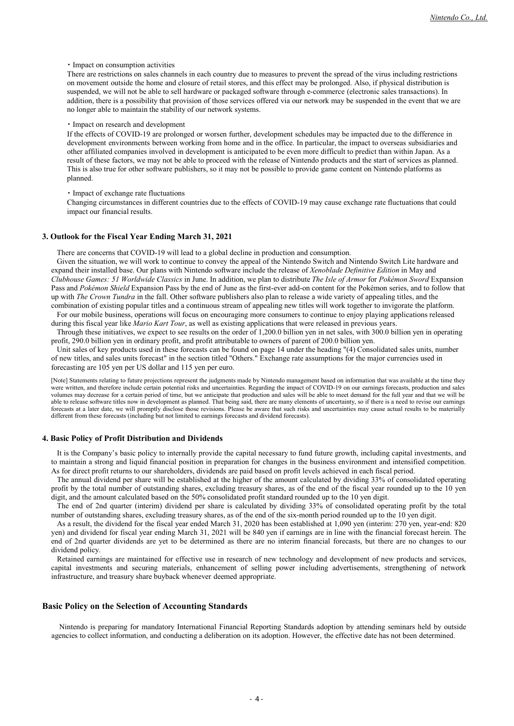・ Impact on consumption activities

There are restrictions on sales channels in each country due to measures to prevent the spread of the virus including restrictions on movement outside the home and closure of retail stores, and this effect may be prolonged. Also, if physical distribution is suspended, we will not be able to sell hardware or packaged software through e-commerce (electronic sales transactions). In addition, there is a possibility that provision of those services offered via our network may be suspended in the event that we are no longer able to maintain the stability of our network systems.

#### ・ Impact on research and development

If the effects of COVID-19 are prolonged or worsen further, development schedules may be impacted due to the difference in development environments between working from home and in the office. In particular, the impact to overseas subsidiaries and other affiliated companies involved in development is anticipated to be even more difficult to predict than within Japan. As a result of these factors, we may not be able to proceed with the release of Nintendo products and the start of services as planned. This is also true for other software publishers, so it may not be possible to provide game content on Nintendo platforms as planned.

### ・ Impact of exchange rate fluctuations

Changing circumstances in different countries due to the effects of COVID-19 may cause exchange rate fluctuations that could impact our financial results.

#### **3. Outlook for the Fiscal Year Ending March 31, 2021**

There are concerns that COVID-19 will lead to a global decline in production and consumption.

Given the situation, we will work to continue to convey the appeal of the Nintendo Switch and Nintendo Switch Lite hardware and expand their installed base. Our plans with Nintendo software include the release of *Xenoblade Definitive Edition* in May and *Clubhouse Games: 51 Worldwide Classics* in June. In addition, we plan to distribute *The Isle of Armor* for *Pokémon Sword* Expansion Pass and *Pokémon Shield* Expansion Pass by the end of June as the first-ever add-on content for the Pokémon series, and to follow that up with *The Crown Tundra* in the fall. Other software publishers also plan to release a wide variety of appealing titles, and the combination of existing popular titles and a continuous stream of appealing new titles will work together to invigorate the platform.

For our mobile business, operations will focus on encouraging more consumers to continue to enjoy playing applications released during this fiscal year like *Mario Kart Tour*, as well as existing applications that were released in previous years.

Through these initiatives, we expect to see results on the order of 1,200.0 billion yen in net sales, with 300.0 billion yen in operating profit, 290.0 billion yen in ordinary profit, and profit attributable to owners of parent of 200.0 billion yen.

Unit sales of key products used in these forecasts can be found on page 14 under the heading "(4) Consolidated sales units, number of new titles, and sales units forecast" in the section titled "Others." Exchange rate assumptions for the major currencies used in forecasting are 105 yen per US dollar and 115 yen per euro.

[Note] Statements relating to future projections represent the judgments made by Nintendo management based on information that was available at the time they were written, and therefore include certain potential risks and uncertainties. Regarding the impact of COVID-19 on our earnings forecasts, production and sales volumes may decrease for a certain period of time, but we anticipate that production and sales will be able to meet demand for the full year and that we will be able to release software titles now in development as planned. That being said, there are many elements of uncertainty, so if there is a need to revise our earnings forecasts at a later date, we will promptly disclose those revisions. Please be aware that such risks and uncertainties may cause actual results to be materially different from these forecasts (including but not limited to earnings forecasts and dividend forecasts).

#### **4. Basic Policy of Profit Distribution and Dividends**

It is the Company's basic policy to internally provide the capital necessary to fund future growth, including capital investments, and to maintain a strong and liquid financial position in preparation for changes in the business environment and intensified competition. As for direct profit returns to our shareholders, dividends are paid based on profit levels achieved in each fiscal period.

The annual dividend per share will be established at the higher of the amount calculated by dividing 33% of consolidated operating profit by the total number of outstanding shares, excluding treasury shares, as of the end of the fiscal year rounded up to the 10 yen digit, and the amount calculated based on the 50% consolidated profit standard rounded up to the 10 yen digit.

The end of 2nd quarter (interim) dividend per share is calculated by dividing 33% of consolidated operating profit by the total number of outstanding shares, excluding treasury shares, as of the end of the six-month period rounded up to the 10 yen digit.

As a result, the dividend for the fiscal year ended March 31, 2020 has been established at 1,090 yen (interim: 270 yen, year-end: 820 yen) and dividend for fiscal year ending March 31, 2021 will be 840 yen if earnings are in line with the financial forecast herein. The end of 2nd quarter dividends are yet to be determined as there are no interim financial forecasts, but there are no changes to our dividend policy.

Retained earnings are maintained for effective use in research of new technology and development of new products and services, capital investments and securing materials, enhancement of selling power including advertisements, strengthening of network infrastructure, and treasury share buyback whenever deemed appropriate.

#### **Basic Policy on the Selection of Accounting Standards**

Nintendo is preparing for mandatory International Financial Reporting Standards adoption by attending seminars held by outside agencies to collect information, and conducting a deliberation on its adoption. However, the effective date has not been determined.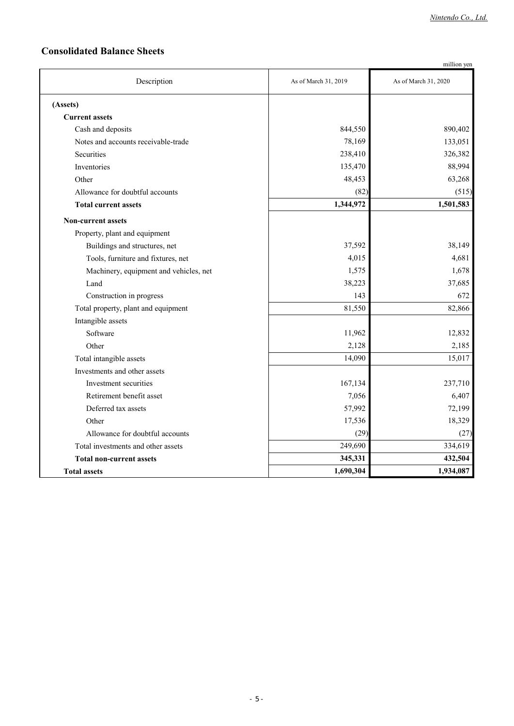## **Consolidated Balance Sheets**

|                                        |                      | million yen          |
|----------------------------------------|----------------------|----------------------|
| Description                            | As of March 31, 2019 | As of March 31, 2020 |
| (Assets)                               |                      |                      |
| <b>Current assets</b>                  |                      |                      |
| Cash and deposits                      | 844,550              | 890,402              |
| Notes and accounts receivable-trade    | 78,169               | 133,051              |
| Securities                             | 238,410              | 326,382              |
| Inventories                            | 135,470              | 88,994               |
| Other                                  | 48,453               | 63,268               |
| Allowance for doubtful accounts        | (82)                 | (515)                |
| <b>Total current assets</b>            | 1,344,972            | 1,501,583            |
| <b>Non-current assets</b>              |                      |                      |
| Property, plant and equipment          |                      |                      |
| Buildings and structures, net          | 37,592               | 38,149               |
| Tools, furniture and fixtures, net     | 4,015                | 4,681                |
| Machinery, equipment and vehicles, net | 1,575                | 1,678                |
| Land                                   | 38,223               | 37,685               |
| Construction in progress               | 143                  | 672                  |
| Total property, plant and equipment    | 81,550               | 82,866               |
| Intangible assets                      |                      |                      |
| Software                               | 11,962               | 12,832               |
| Other                                  | 2,128                | 2,185                |
| Total intangible assets                | 14,090               | 15,017               |
| Investments and other assets           |                      |                      |
| Investment securities                  | 167,134              | 237,710              |
| Retirement benefit asset               | 7,056                | 6,407                |
| Deferred tax assets                    | 57,992               | 72,199               |
| Other                                  | 17,536               | 18,329               |
| Allowance for doubtful accounts        | (29)                 | (27)                 |
| Total investments and other assets     | 249,690              | 334,619              |
| <b>Total non-current assets</b>        | 345,331              | 432,504              |
| <b>Total assets</b>                    | 1,690,304            | 1,934,087            |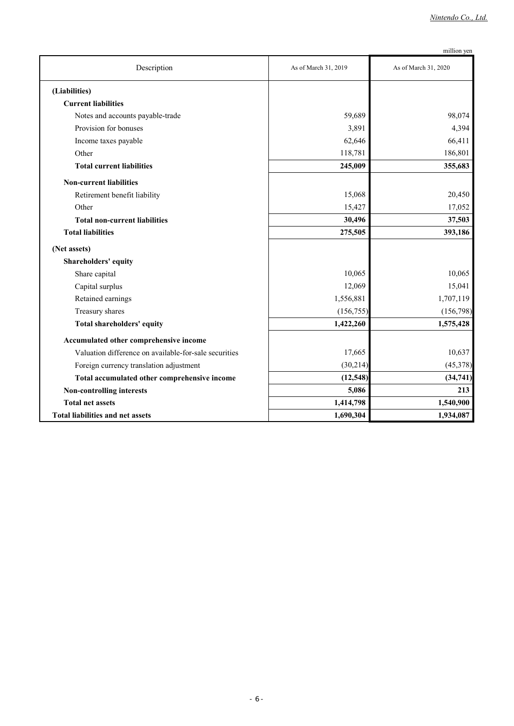| m11110 n |  |
|----------|--|
|          |  |

|                                                       |                      | million yen          |
|-------------------------------------------------------|----------------------|----------------------|
| Description                                           | As of March 31, 2019 | As of March 31, 2020 |
| (Liabilities)                                         |                      |                      |
| <b>Current liabilities</b>                            |                      |                      |
| Notes and accounts payable-trade                      | 59,689               | 98,074               |
| Provision for bonuses                                 | 3,891                | 4,394                |
| Income taxes payable                                  | 62,646               | 66,411               |
| Other                                                 | 118,781              | 186,801              |
| <b>Total current liabilities</b>                      | 245,009              | 355,683              |
| <b>Non-current liabilities</b>                        |                      |                      |
| Retirement benefit liability                          | 15,068               | 20,450               |
| Other                                                 | 15,427               | 17,052               |
| <b>Total non-current liabilities</b>                  | 30,496               | 37,503               |
| <b>Total liabilities</b>                              | 275,505              | 393,186              |
| (Net assets)                                          |                      |                      |
| Shareholders' equity                                  |                      |                      |
| Share capital                                         | 10,065               | 10,065               |
| Capital surplus                                       | 12,069               | 15,041               |
| Retained earnings                                     | 1,556,881            | 1,707,119            |
| Treasury shares                                       | (156, 755)           | (156,798)            |
| Total shareholders' equity                            | 1,422,260            | 1,575,428            |
| Accumulated other comprehensive income                |                      |                      |
| Valuation difference on available-for-sale securities | 17,665               | 10,637               |
| Foreign currency translation adjustment               | (30,214)             | (45,378)             |
| Total accumulated other comprehensive income          | (12, 548)            | (34, 741)            |
| Non-controlling interests                             | 5,086                | 213                  |
| <b>Total net assets</b>                               | 1,414,798            | 1,540,900            |
| <b>Total liabilities and net assets</b>               | 1,690,304            | 1,934,087            |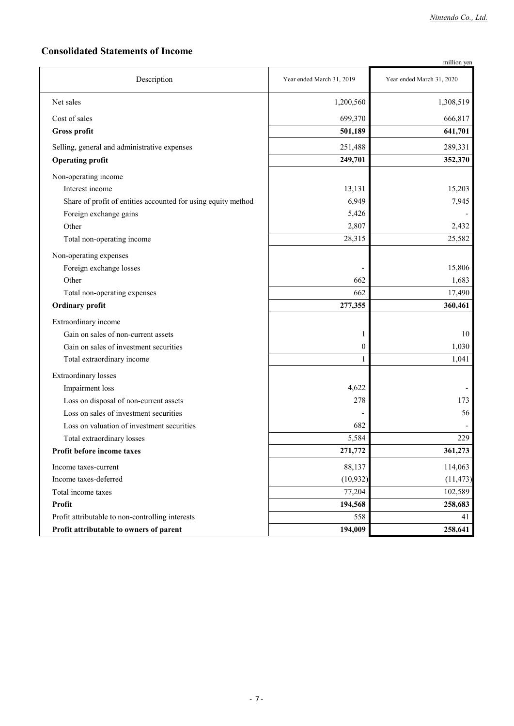# **Consolidated Statements of Income**

|                                                               |                           | million yen               |
|---------------------------------------------------------------|---------------------------|---------------------------|
| Description                                                   | Year ended March 31, 2019 | Year ended March 31, 2020 |
| Net sales                                                     | 1,200,560                 | 1,308,519                 |
| Cost of sales                                                 | 699,370                   | 666,817                   |
| <b>Gross profit</b>                                           | 501,189                   | 641,701                   |
| Selling, general and administrative expenses                  | 251,488                   | 289,331                   |
| <b>Operating profit</b>                                       | 249,701                   | 352,370                   |
| Non-operating income                                          |                           |                           |
| Interest income                                               | 13,131                    | 15,203                    |
| Share of profit of entities accounted for using equity method | 6,949                     | 7,945                     |
| Foreign exchange gains                                        | 5,426                     |                           |
| Other                                                         | 2,807                     | 2,432                     |
| Total non-operating income                                    | 28,315                    | 25,582                    |
| Non-operating expenses                                        |                           |                           |
| Foreign exchange losses                                       |                           | 15,806                    |
| Other                                                         | 662                       | 1,683                     |
| Total non-operating expenses                                  | 662                       | 17,490                    |
| <b>Ordinary profit</b>                                        | 277,355                   | 360,461                   |
| Extraordinary income                                          |                           |                           |
| Gain on sales of non-current assets                           | 1                         | 10                        |
| Gain on sales of investment securities                        | 0                         | 1,030                     |
| Total extraordinary income                                    | 1                         | 1,041                     |
| <b>Extraordinary losses</b>                                   |                           |                           |
| Impairment loss                                               | 4,622                     |                           |
| Loss on disposal of non-current assets                        | 278                       | 173                       |
| Loss on sales of investment securities                        |                           | 56                        |
| Loss on valuation of investment securities                    | 682                       |                           |
| Total extraordinary losses                                    | 5,584                     | 229                       |
| Profit before income taxes                                    | 271,772                   | 361,273                   |
| Income taxes-current                                          | 88,137                    | 114,063                   |
| Income taxes-deferred                                         | (10, 932)                 | (11, 473)                 |
| Total income taxes                                            | 77,204                    | 102,589                   |
| Profit                                                        | 194,568                   | 258,683                   |
| Profit attributable to non-controlling interests              | 558                       | 41                        |
| Profit attributable to owners of parent                       | 194,009                   | 258,641                   |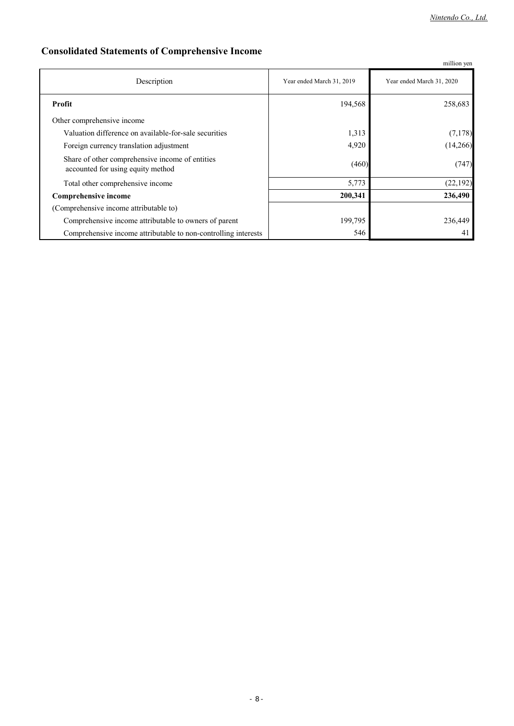# **Consolidated Statements of Comprehensive Income**

|                                                                                      |                           | million yen               |
|--------------------------------------------------------------------------------------|---------------------------|---------------------------|
| Description                                                                          | Year ended March 31, 2019 | Year ended March 31, 2020 |
| Profit                                                                               | 194,568                   | 258,683                   |
| Other comprehensive income                                                           |                           |                           |
| Valuation difference on available-for-sale securities                                | 1,313                     | (7,178)                   |
| Foreign currency translation adjustment                                              | 4,920                     | (14,266)                  |
| Share of other comprehensive income of entities<br>accounted for using equity method | (460)                     | (747)                     |
| Total other comprehensive income                                                     | 5,773                     | (22, 192)                 |
| Comprehensive income                                                                 | 200,341                   | 236,490                   |
| (Comprehensive income attributable to)                                               |                           |                           |
| Comprehensive income attributable to owners of parent                                | 199,795                   | 236,449                   |
| Comprehensive income attributable to non-controlling interests                       | 546                       | 41                        |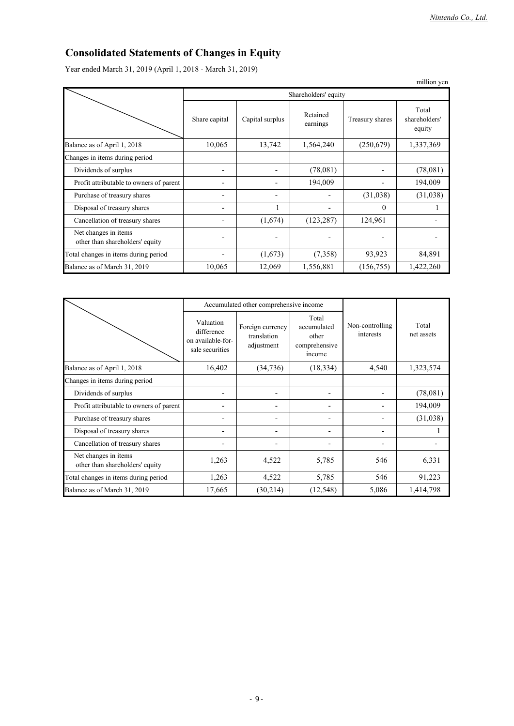# **Consolidated Statements of Changes in Equity**

Year ended March 31, 2019 (April 1, 2018 - March 31, 2019)

|                                                         |               |                 |                      |                 | million yen                      |
|---------------------------------------------------------|---------------|-----------------|----------------------|-----------------|----------------------------------|
|                                                         |               |                 | Shareholders' equity |                 |                                  |
|                                                         | Share capital | Capital surplus | Retained<br>earnings | Treasury shares | Total<br>shareholders'<br>equity |
| Balance as of April 1, 2018                             | 10,065        | 13,742          | 1,564,240            | (250,679)       | 1,337,369                        |
| Changes in items during period                          |               |                 |                      |                 |                                  |
| Dividends of surplus                                    |               |                 | (78,081)             |                 | (78,081)                         |
| Profit attributable to owners of parent                 |               |                 | 194,009              |                 | 194,009                          |
| Purchase of treasury shares                             |               |                 |                      | (31,038)        | (31,038)                         |
| Disposal of treasury shares                             |               |                 |                      | $\Omega$        |                                  |
| Cancellation of treasury shares                         |               | (1,674)         | (123, 287)           | 124,961         |                                  |
| Net changes in items<br>other than shareholders' equity |               |                 |                      |                 |                                  |
| Total changes in items during period                    |               | (1,673)         | (7,358)              | 93,923          | 84,891                           |
| Balance as of March 31, 2019                            | 10,065        | 12,069          | 1,556,881            | (156, 755)      | 1,422,260                        |

|                                                         |                                                                 | Accumulated other comprehensive income        |                                                          |                              |                     |  |
|---------------------------------------------------------|-----------------------------------------------------------------|-----------------------------------------------|----------------------------------------------------------|------------------------------|---------------------|--|
|                                                         | Valuation<br>difference<br>on available-for-<br>sale securities | Foreign currency<br>translation<br>adjustment | Total<br>accumulated<br>other<br>comprehensive<br>income | Non-controlling<br>interests | Total<br>net assets |  |
| Balance as of April 1, 2018                             | 16,402                                                          | (34,736)                                      | (18, 334)                                                | 4,540                        | 1,323,574           |  |
| Changes in items during period                          |                                                                 |                                               |                                                          |                              |                     |  |
| Dividends of surplus                                    |                                                                 |                                               |                                                          |                              | (78,081)            |  |
| Profit attributable to owners of parent                 |                                                                 | ۰                                             | $\overline{a}$                                           |                              | 194,009             |  |
| Purchase of treasury shares                             |                                                                 | ۰                                             | $\overline{a}$                                           |                              | (31,038)            |  |
| Disposal of treasury shares                             |                                                                 |                                               | $\overline{\phantom{0}}$                                 |                              |                     |  |
| Cancellation of treasury shares                         |                                                                 |                                               |                                                          |                              |                     |  |
| Net changes in items<br>other than shareholders' equity | 1,263                                                           | 4,522                                         | 5,785                                                    | 546                          | 6,331               |  |
| Total changes in items during period                    | 1,263                                                           | 4,522                                         | 5,785                                                    | 546                          | 91,223              |  |
| Balance as of March 31, 2019                            | 17,665                                                          | (30,214)                                      | (12, 548)                                                | 5,086                        | 1,414,798           |  |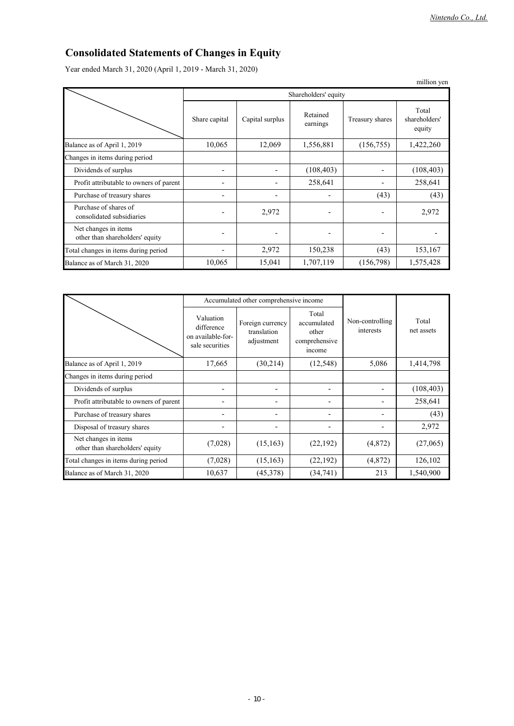# **Consolidated Statements of Changes in Equity**

Year ended March 31, 2020 (April 1, 2019 - March 31, 2020)

|                                                         |               |                      |                      |                 | million yen                      |  |
|---------------------------------------------------------|---------------|----------------------|----------------------|-----------------|----------------------------------|--|
|                                                         |               | Shareholders' equity |                      |                 |                                  |  |
|                                                         | Share capital | Capital surplus      | Retained<br>earnings | Treasury shares | Total<br>shareholders'<br>equity |  |
| Balance as of April 1, 2019                             | 10,065        | 12,069               | 1,556,881            | (156, 755)      | 1,422,260                        |  |
| Changes in items during period                          |               |                      |                      |                 |                                  |  |
| Dividends of surplus                                    |               |                      | (108, 403)           |                 | (108, 403)                       |  |
| Profit attributable to owners of parent                 |               |                      | 258,641              |                 | 258,641                          |  |
| Purchase of treasury shares                             |               |                      |                      | (43)            | (43)                             |  |
| Purchase of shares of<br>consolidated subsidiaries      |               | 2,972                | -                    |                 | 2,972                            |  |
| Net changes in items<br>other than shareholders' equity |               |                      | -                    |                 |                                  |  |
| Total changes in items during period                    |               | 2,972                | 150,238              | (43)            | 153,167                          |  |
| Balance as of March 31, 2020                            | 10,065        | 15,041               | 1,707,119            | (156,798)       | 1,575,428                        |  |

|                                                         |                                                                 | Accumulated other comprehensive income        |                                                          |                              |                     |
|---------------------------------------------------------|-----------------------------------------------------------------|-----------------------------------------------|----------------------------------------------------------|------------------------------|---------------------|
|                                                         | Valuation<br>difference<br>on available-for-<br>sale securities | Foreign currency<br>translation<br>adjustment | Total<br>accumulated<br>other<br>comprehensive<br>income | Non-controlling<br>interests | Total<br>net assets |
| Balance as of April 1, 2019                             | 17,665                                                          | (30,214)                                      | (12, 548)                                                | 5,086                        | 1,414,798           |
| Changes in items during period                          |                                                                 |                                               |                                                          |                              |                     |
| Dividends of surplus                                    |                                                                 | $\overline{\phantom{0}}$                      | $\overline{\phantom{0}}$                                 |                              | (108, 403)          |
| Profit attributable to owners of parent                 |                                                                 |                                               | -                                                        |                              | 258,641             |
| Purchase of treasury shares                             |                                                                 |                                               | -                                                        |                              | (43)                |
| Disposal of treasury shares                             |                                                                 |                                               | -                                                        |                              | 2,972               |
| Net changes in items<br>other than shareholders' equity | (7,028)                                                         | (15, 163)                                     | (22, 192)                                                | (4,872)                      | (27,065)            |
| Total changes in items during period                    | (7,028)                                                         | (15, 163)                                     | (22, 192)                                                | (4,872)                      | 126,102             |
| Balance as of March 31, 2020                            | 10,637                                                          | (45,378)                                      | (34,741)                                                 | 213                          | 1,540,900           |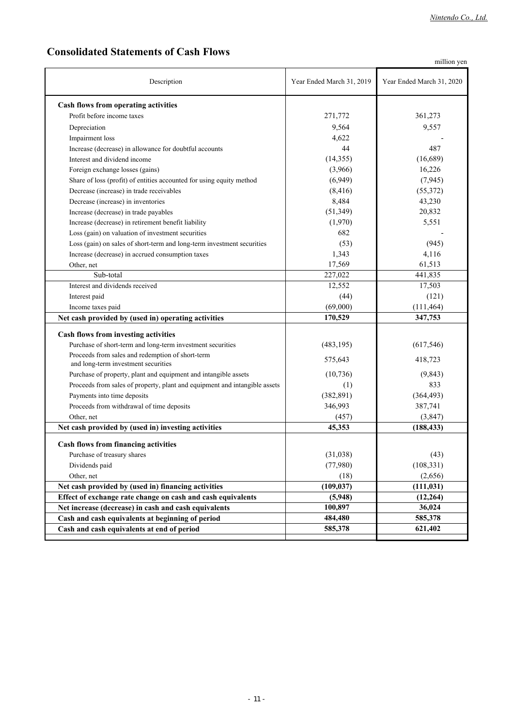# **Consolidated Statements of Cash Flows**

million yen

| Description                                                                | Year Ended March 31, 2019 | Year Ended March 31, 2020 |  |
|----------------------------------------------------------------------------|---------------------------|---------------------------|--|
| Cash flows from operating activities                                       |                           |                           |  |
| Profit before income taxes                                                 | 271,772                   | 361,273                   |  |
| Depreciation                                                               | 9,564                     | 9,557                     |  |
| Impairment loss                                                            | 4,622                     |                           |  |
| Increase (decrease) in allowance for doubtful accounts                     | 44                        | 487                       |  |
| Interest and dividend income                                               | (14,355)                  | (16,689)                  |  |
| Foreign exchange losses (gains)                                            | (3,966)                   | 16,226                    |  |
| Share of loss (profit) of entities accounted for using equity method       | (6,949)                   | (7, 945)                  |  |
| Decrease (increase) in trade receivables                                   | (8, 416)                  | (55,372)                  |  |
| Decrease (increase) in inventories                                         | 8,484                     | 43,230                    |  |
| Increase (decrease) in trade payables                                      | (51, 349)                 | 20,832                    |  |
| Increase (decrease) in retirement benefit liability                        | (1,970)                   | 5,551                     |  |
| Loss (gain) on valuation of investment securities                          | 682                       |                           |  |
| Loss (gain) on sales of short-term and long-term investment securities     | (53)                      | (945)                     |  |
| Increase (decrease) in accrued consumption taxes                           | 1,343                     | 4,116                     |  |
| Other, net                                                                 | 17,569                    | 61,513                    |  |
| Sub-total                                                                  | 227,022                   | 441,835                   |  |
| Interest and dividends received                                            | 12,552                    | 17,503                    |  |
| Interest paid                                                              | (44)                      | (121)                     |  |
| Income taxes paid                                                          | (69,000)                  | (111, 464)                |  |
| Net cash provided by (used in) operating activities                        | 170,529                   | 347,753                   |  |
| Cash flows from investing activities                                       |                           |                           |  |
| Purchase of short-term and long-term investment securities                 | (483, 195)                | (617, 546)                |  |
| Proceeds from sales and redemption of short-term                           |                           |                           |  |
| and long-term investment securities                                        | 575,643                   | 418,723                   |  |
| Purchase of property, plant and equipment and intangible assets            | (10, 736)                 | (9, 843)                  |  |
| Proceeds from sales of property, plant and equipment and intangible assets | (1)                       | 833                       |  |
| Payments into time deposits                                                | (382, 891)                | (364, 493)                |  |
| Proceeds from withdrawal of time deposits                                  | 346,993                   | 387,741                   |  |
| Other, net                                                                 | (457)                     | (3,847)                   |  |
| Net cash provided by (used in) investing activities                        | 45,353                    | (188, 433)                |  |
| Cash flows from financing activities                                       |                           |                           |  |
| Purchase of treasury shares                                                | (31,038)                  | (43)                      |  |
| Dividends paid                                                             | (77,980)                  | (108, 331)                |  |
| Other, net                                                                 | (18)                      | (2,656)                   |  |
| Net cash provided by (used in) financing activities                        | (109, 037)                | (111, 031)                |  |
| Effect of exchange rate change on cash and cash equivalents                | (5,948)                   | (12, 264)                 |  |
| Net increase (decrease) in cash and cash equivalents                       | 100,897                   | 36,024                    |  |
| Cash and cash equivalents at beginning of period                           | 484,480                   | 585,378                   |  |
| Cash and cash equivalents at end of period                                 | 585,378                   | 621,402                   |  |
|                                                                            |                           |                           |  |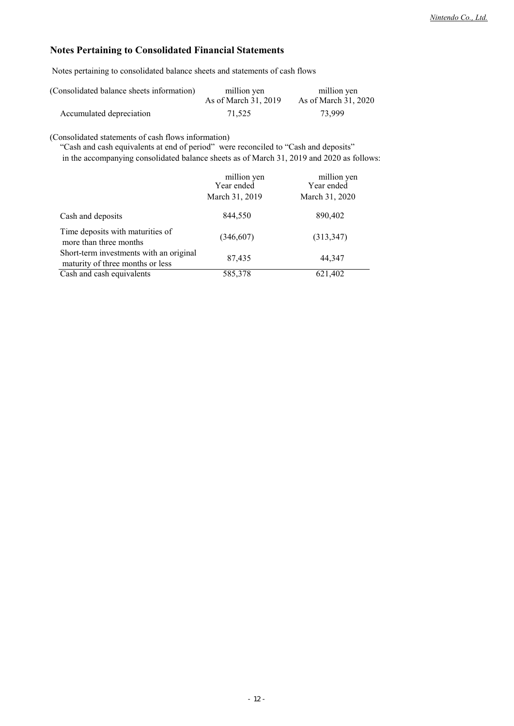## **Notes Pertaining to Consolidated Financial Statements**

Notes pertaining to consolidated balance sheets and statements of cash flows

| (Consolidated balance sheets information) | million yen          | million yen          |
|-------------------------------------------|----------------------|----------------------|
|                                           | As of March 31, 2019 | As of March 31, 2020 |
| Accumulated depreciation                  | 71,525               | 73.999               |

(Consolidated statements of cash flows information)

"Cash and cash equivalents at end of period" were reconciled to "Cash and deposits"

in the accompanying consolidated balance sheets as of March 31, 2019 and 2020 as follows:

|                                                                             | million yen<br>Year ended<br>March 31, 2019 | million yen<br>Year ended<br>March 31, 2020 |
|-----------------------------------------------------------------------------|---------------------------------------------|---------------------------------------------|
| Cash and deposits                                                           | 844,550                                     | 890,402                                     |
| Time deposits with maturities of<br>more than three months                  | (346,607)                                   | (313, 347)                                  |
| Short-term investments with an original<br>maturity of three months or less | 87,435                                      | 44.347                                      |
| Cash and cash equivalents                                                   | 585,378                                     | 621,402                                     |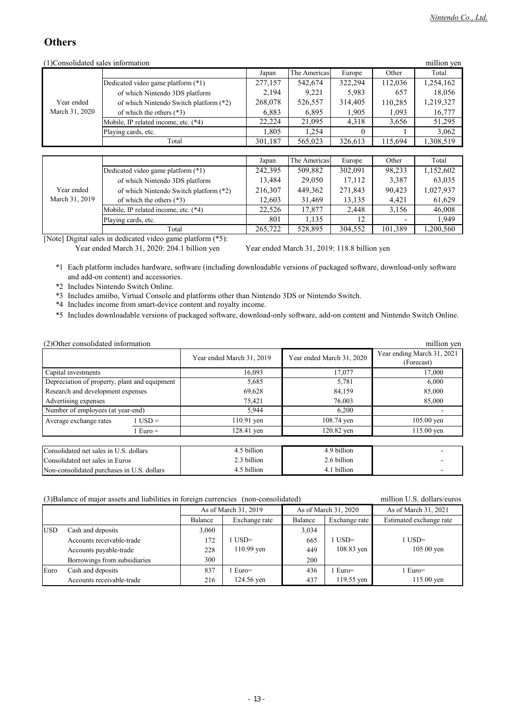# **Others**

| (1)Consolidated sales information |                                        |         |              |          |         | million yen |
|-----------------------------------|----------------------------------------|---------|--------------|----------|---------|-------------|
|                                   |                                        | Japan   | The Americas | Europe   | Other   | Total       |
|                                   | Dedicated video game platform (*1)     | 277,157 | 542,674      | 322,294  | 112,036 | 1,254,162   |
|                                   | of which Nintendo 3DS platform         | 2,194   | 9,221        | 5,983    | 657     | 18,056      |
| Year ended                        | of which Nintendo Switch platform (*2) | 268,078 | 526,557      | 314,405  | 110,285 | 1,219,327   |
| March 31, 2020                    | of which the others $(*3)$             | 6,883   | 6,895        | 1,905    | 1,093   | 16,777      |
|                                   | Mobile, IP related income, etc. (*4)   | 22,224  | 21,095       | 4,318    | 3,656   | 51,295      |
|                                   | Playing cards, etc.                    | 1,805   | 1,254        | $\Omega$ |         | 3,062       |
|                                   | Total                                  | 301,187 | 565,023      | 326,613  | 115,694 | 1,308,519   |
|                                   |                                        |         |              |          |         |             |
|                                   |                                        | Japan   | The Americas | Europe   | Other   | Total       |
|                                   | Dedicated video game platform (*1)     | 242,395 | 509,882      | 302,091  | 98,233  | 1,152,602   |
|                                   | of which Nintendo 3DS platform         | 13,484  | 29,050       | 17,112   | 3,387   | 63,035      |
| Year ended                        | of which Nintendo Switch platform (*2) | 216,307 | 449,362      | 271,843  | 90,423  | 1,027,937   |
| March 31, 2019                    | of which the others $(*3)$             | 12,603  | 31,469       | 13,135   | 4,421   | 61,629      |
|                                   | Mobile, IP related income, etc. (*4)   | 22,526  | 17,877       | 2,448    | 3,156   | 46,008      |
|                                   | Playing cards, etc.                    | 801     | 1,135        | 12       |         | 1,949       |
|                                   | Total                                  | 265,722 | 528,895      | 304,552  | 101,389 | 1,200,560   |

[Note] Digital sales in dedicated video game platform (\*5):

Year ended March 31, 2020: 204.1 billion yen Year ended March 31, 2019: 118.8 billion yen

\*1 Each platform includes hardware, software (including downloadable versions of packaged software, download-only software and add-on content) and accessories.

\*2 Includes Nintendo Switch Online.

\*3 Includes amiibo, Virtual Console and platforms other than Nintendo 3DS or Nintendo Switch.

\*4 Includes income from smart-device content and royalty income.

\*5 Includes downloadable versions of packaged software, download-only software, add-on content and Nintendo Switch Online.

| (2) Other consolidated information            |         |                           |                           | million yen                              |
|-----------------------------------------------|---------|---------------------------|---------------------------|------------------------------------------|
|                                               |         | Year ended March 31, 2019 | Year ended March 31, 2020 | Year ending March 31, 2021<br>(Forecast) |
| Capital investments                           |         | 16.093                    | 17,077                    | 17,000                                   |
| Depreciation of property, plant and equipment |         | 5,685                     | 5,781                     | 6,000                                    |
| Research and development expenses             |         | 69,628                    | 84,159                    | 85,000                                   |
| Advertising expenses                          |         | 75,421                    | 76,003                    | 85,000                                   |
| Number of employees (at year-end)             |         | 5,944                     | 6,200                     |                                          |
| Average exchange rates                        | $USD =$ | $110.91$ yen              | 108.74 yen                | $105.00$ yen                             |
| $1 Euro =$                                    |         | 128.41 yen                | 120.82 yen                | $115.00$ yen                             |
|                                               |         |                           |                           |                                          |
| Consolidated net sales in U.S. dollars        |         | 4.5 billion               | 4.9 billion               |                                          |
| Consolidated net sales in Euros               |         | 2.3 billion               | 2.6 billion               |                                          |
| Non-consolidated purchases in U.S. dollars    |         | 4.5 billion               | 4.1 billion               |                                          |

(3)Balance of major assets and liabilities in foreign currencies (non-consolidated) million U.S. dollars/euros

|            |                              | As of March 31, 2019 |               | As of March 31, 2020 |               | As of March 31, 2021    |
|------------|------------------------------|----------------------|---------------|----------------------|---------------|-------------------------|
|            |                              | Balance              | Exchange rate | Balance              | Exchange rate | Estimated exchange rate |
| <b>USD</b> | Cash and deposits            | 3,060                |               | 3,034                |               |                         |
|            | Accounts receivable-trade    | 172                  | $USD =$       | 665                  | $1$ USD=      | $1$ USD=                |
|            | Accounts payable-trade       | 228                  | 110.99 yen    | 449                  | 108.83 yen    | $105.00$ yen            |
|            | Borrowings from subsidiaries | 300                  |               | 200                  |               |                         |
| Euro       | Cash and deposits            | 837                  | $Euro=$       | 436                  | Euro=         | $1$ Euro=               |
|            | Accounts receivable-trade    | 216                  | 124.56 yen    | 437                  | 119.55 yen    | 115.00 yen              |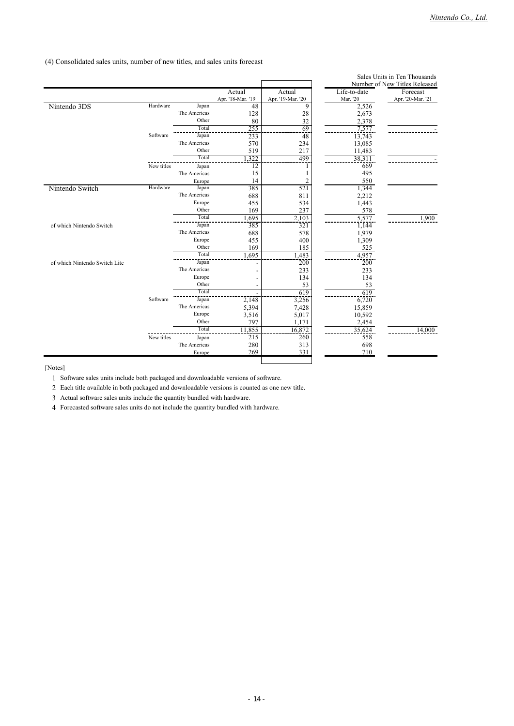(4) Consolidated sales units, number of new titles, and sales units forecast

|                               |            |              |                   |                   |              | Sales Units in Ten Thousands  |
|-------------------------------|------------|--------------|-------------------|-------------------|--------------|-------------------------------|
|                               |            |              |                   |                   |              | Number of New Titles Released |
|                               |            |              | Actual            | Actual            | Life-to-date | Forecast                      |
|                               |            |              | Apr. '18-Mar. '19 | Apr. '19-Mar. '20 | Mar. '20     | Apr. '20-Mar. '21             |
| Nintendo 3DS                  | Hardware   | Japan        | 48                | 9                 | 2,526        |                               |
|                               |            | The Americas | 128               | 28                | 2,673        |                               |
|                               |            | Other        | 80                | 32                | 2,378        |                               |
|                               |            | Total        | 255               | 69                | 7,577        |                               |
|                               | Software   | Japan        | 233               | 48                | 13,743       |                               |
|                               |            | The Americas | 570               | 234               | 13,085       |                               |
|                               |            | Other        | 519               | 217               | 11,483       |                               |
|                               |            | Total        | 1,322             | 499               | 38,311       |                               |
|                               | New titles | Japan        | 12                |                   | 669          |                               |
|                               |            | The Americas | 15                |                   | 495          |                               |
|                               |            | Europe       | 14                | $\overline{c}$    | 550          |                               |
| Nintendo Switch               | Hardware   | Japan        | 385               | 521               | 1,344        |                               |
|                               |            | The Americas | 688               | 811               | 2,212        |                               |
|                               |            | Europe       | 455               | 534               | 1,443        |                               |
|                               |            | Other        | 169               | 237               | 578          |                               |
|                               |            | Total        | 1,695             | 2,103             | 5,577        | 1,900                         |
| of which Nintendo Switch      |            | Japan        | 385               | 321               | 1,144        |                               |
|                               |            | The Americas | 688               | 578               | 1,979        |                               |
|                               |            | Europe       | 455               | 400               | 1,309        |                               |
|                               |            | Other        | 169               | 185               | 525          |                               |
|                               |            | Total        | 1,695             | .483              | 4,957        |                               |
| of which Nintendo Switch Lite |            | Japan        |                   | 200               | 200          |                               |
|                               |            | The Americas |                   | 233               | 233          |                               |
|                               |            | Europe       |                   | 134               | 134          |                               |
|                               |            | Other        |                   | 53                | 53           |                               |
|                               |            | Total        |                   | 619               | 619          |                               |
|                               | Software   | Japan        | 2,148             | 3,256             | 6,720        |                               |
|                               |            | The Americas | 5,394             | 7,428             | 15,859       |                               |
|                               |            | Europe       | 3,516             | 5,017             | 10,592       |                               |
|                               |            | Other        | 797               | 1,171             | 2,454        |                               |
|                               |            | Total        | 11,855            | 16,872            | 35,624       | 14,000                        |
|                               | New titles | Japan        | 215               | 260               | 558          |                               |
|                               |            | The Americas | 280               | 313               | 698          |                               |
|                               |            | Europe       | 269               | 331               | 710          |                               |
|                               |            |              |                   |                   |              |                               |
|                               |            |              |                   |                   |              |                               |

[Notes]

1 Software sales units include both packaged and downloadable versions of software.

2 Each title available in both packaged and downloadable versions is counted as one new title.

3 Actual software sales units include the quantity bundled with hardware.

4 Forecasted software sales units do not include the quantity bundled with hardware.